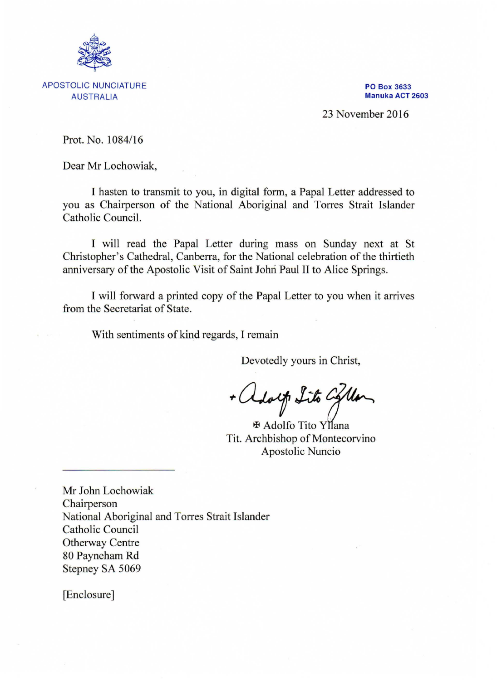

APOSTOLIC NUNCIATURE AUSTRALIA

PO Box 3633 Manuka ACT 2603

23 November 2016

Prot. No. 1084/16

Dear Mr Lochowiak,

I hasten to transmit to you, in digital form, a Papal Letter addressed to you as Chairperson of the National Aboriginal and Torres Strait Islander Catholic Council.

I will read the Papal Letter during mass on Sunday next at St Christopher's Cathedral, Canberra, for the National celebration of the thirtieth anniversary of the Apostolic Visit of Saint Johri Paul II to Alice Springs.

I will forward a printed copy of the Papal Letter to you when it arrives from the Secretariat of State.

With sentiments of kind regards, I remain

Devotedly yours in Christ,

+ adolf Lito Collar

Tit. Archbishop of Montecorvino Apostolic Nuncio

Mr John Lochowiak Chairperson National Aboriginal and Torres Strait Islander Catholic Council Otherway Centre 80 Payneham Rd Stepney SA 5069

[Enclosure]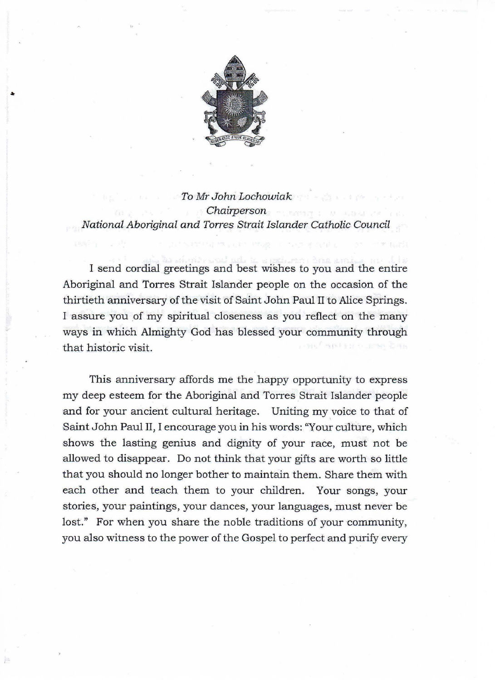

I•

*To Mr John Lochowiak Chairperson National Aboriginal and Ton-es Strait Islander Catholic Council* 

I send cordial greetings and best wishes to you and the entire Aboriginal and Torres Strait Islander people on the occasion of the thirtieth anniversary of the visit of Saint John Paul II to Alice Springs. I assure you of my spiritual closeness as you reflect on the many ways in which Almighty God has blessed your community through that historic visit.

This anniversary affords me the happy opportunity to express my deep esteem for the Aboriginal and Torres Strait Islander people and for your ancient cultural heritage. Uniting my voice to that of Saint John Paul II, I encourage you in his words: "Your culture, which shows the lasting genius and dignity of your race, must not be allowed to disappear. Do not think that your gifts are worth so little that you should no longer bother to maintain them. Share them with each other and teach them to your children. Your songs, your stories, your paintings, your dances, your languages, must never be lost." For when you share the noble traditions of your community, you also witness to the power of the Gospel to perfect and purify every